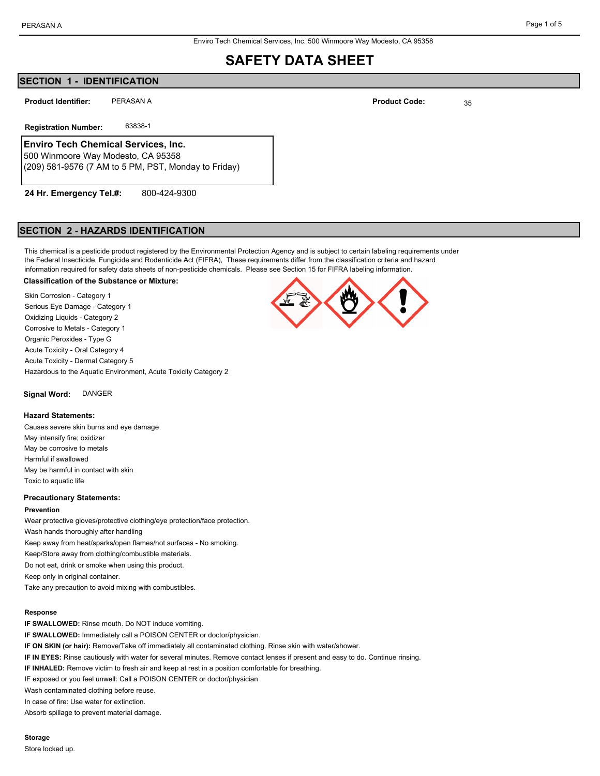## **SECTION 1 - IDENTIFICATION**

PERASAN A **Product Identifier:**

**Registration Number:** 63838-1

## **Enviro Tech Chemical Services, Inc.**

500 Winmoore Way Modesto, CA 95358 (209) 581-9576 (7 AM to 5 PM, PST, Monday to Friday)

800-424-9300 **24 Hr. Emergency Tel.#:**

### **SECTION 2 - HAZARDS IDENTIFICATION**

This chemical is a pesticide product registered by the Environmental Protection Agency and is subject to certain labeling requirements under the Federal Insecticide, Fungicide and Rodenticide Act (FIFRA), These requirements differ from the classification criteria and hazard information required for safety data sheets of non-pesticide chemicals. Please see Section 15 for FIFRA labeling information.

#### **Classification of the Substance or Mixture:**

Skin Corrosion - Category 1 Serious Eye Damage - Category 1 Oxidizing Liquids - Category 2 Corrosive to Metals - Category 1 Organic Peroxides - Type G Acute Toxicity - Oral Category 4 Acute Toxicity - Dermal Category 5 Hazardous to the Aquatic Environment, Acute Toxicity Category 2

**Signal Word:** DANGER

#### **Hazard Statements:**

Causes severe skin burns and eye damage May intensify fire; oxidizer May be corrosive to metals Harmful if swallowed May be harmful in contact with skin Toxic to aquatic life

#### **Precautionary Statements:**

#### **Prevention**

Wear protective gloves/protective clothing/eye protection/face protection. Wash hands thoroughly after handling Keep away from heat/sparks/open flames/hot surfaces - No smoking. Keep/Store away from clothing/combustible materials. Do not eat, drink or smoke when using this product. Keep only in original container. Take any precaution to avoid mixing with combustibles.

#### **Response**

**IF SWALLOWED:** Rinse mouth. Do NOT induce vomiting. **IF SWALLOWED:** Immediately call a POISON CENTER or doctor/physician. **IF ON SKIN (or hair):** Remove/Take off immediately all contaminated clothing. Rinse skin with water/shower. **IF IN EYES:** Rinse cautiously with water for several minutes. Remove contact lenses if present and easy to do. Continue rinsing. **IF INHALED:** Remove victim to fresh air and keep at rest in a position comfortable for breathing. IF exposed or you feel unwell: Call a POISON CENTER or doctor/physician Wash contaminated clothing before reuse. In case of fire: Use water for extinction.

Absorb spillage to prevent material damage.

**Storage**

Store locked up.



**Product Code:**

35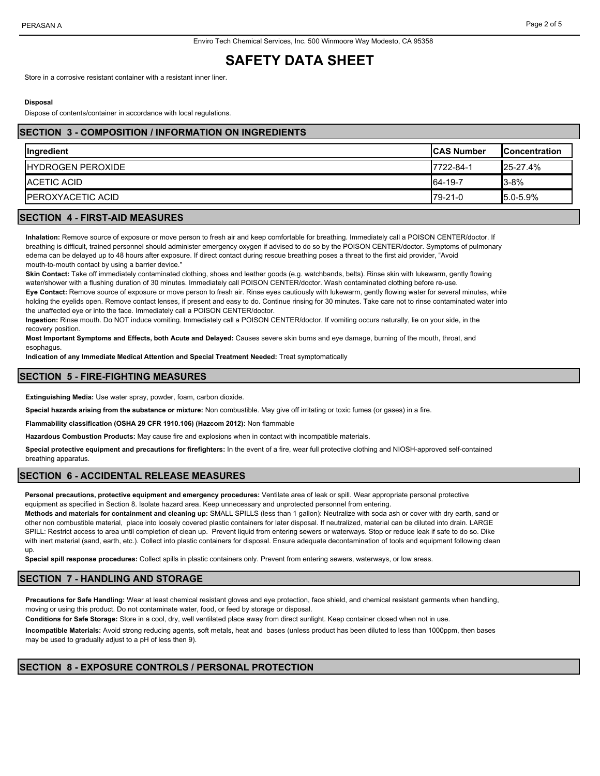Store in a corrosive resistant container with a resistant inner liner.

#### **Disposal**

Dispose of contents/container in accordance with local regulations.

### **SECTION 3 - COMPOSITION / INFORMATION ON INGREDIENTS**

| <b>Ingredient</b>         | <b>ICAS Number</b> | <b>IConcentration</b> |
|---------------------------|--------------------|-----------------------|
| <b>IHYDROGEN PEROXIDE</b> | 7722-84-1          | $25 - 27.4%$          |
| <b>IACETIC ACID</b>       | 64-19-7            | $3 - 8%$              |
| <b>IPEROXYACETIC ACID</b> | 79-21-0            | $15.0 - 5.9%$         |

## **SECTION 4 - FIRST-AID MEASURES**

**Inhalation:** Remove source of exposure or move person to fresh air and keep comfortable for breathing. Immediately call a POISON CENTER/doctor. If breathing is difficult, trained personnel should administer emergency oxygen if advised to do so by the POISON CENTER/doctor. Symptoms of pulmonary edema can be delayed up to 48 hours after exposure. If direct contact during rescue breathing poses a threat to the first aid provider, "Avoid mouth-to-mouth contact by using a barrier device."

**Skin Contact:** Take off immediately contaminated clothing, shoes and leather goods (e.g. watchbands, belts). Rinse skin with lukewarm, gently flowing water/shower with a flushing duration of 30 minutes. Immediately call POISON CENTER/doctor. Wash contaminated clothing before re-use.

**Eye Contact:** Remove source of exposure or move person to fresh air. Rinse eyes cautiously with lukewarm, gently flowing water for several minutes, while holding the eyelids open. Remove contact lenses, if present and easy to do. Continue rinsing for 30 minutes. Take care not to rinse contaminated water into the unaffected eye or into the face. Immediately call a POISON CENTER/doctor.

**Ingestion:** Rinse mouth. Do NOT induce vomiting. Immediately call a POISON CENTER/doctor. If vomiting occurs naturally, lie on your side, in the recovery position.

**Most Important Symptoms and Effects, both Acute and Delayed:** Causes severe skin burns and eye damage, burning of the mouth, throat, and esophagus.

**Indication of any Immediate Medical Attention and Special Treatment Needed:** Treat symptomatically

## **SECTION 5 - FIRE-FIGHTING MEASURES**

**Extinguishing Media:** Use water spray, powder, foam, carbon dioxide.

**Special hazards arising from the substance or mixture:** Non combustible. May give off irritating or toxic fumes (or gases) in a fire.

**Flammability classification (OSHA 29 CFR 1910.106) (Hazcom 2012):** Non flammable

**Hazardous Combustion Products:** May cause fire and explosions when in contact with incompatible materials.

**Special protective equipment and precautions for firefighters:** In the event of a fire, wear full protective clothing and NIOSH-approved self-contained breathing apparatus.

#### **SECTION 6 - ACCIDENTAL RELEASE MEASURES**

**Personal precautions, protective equipment and emergency procedures:** Ventilate area of leak or spill. Wear appropriate personal protective equipment as specified in Section 8. Isolate hazard area. Keep unnecessary and unprotected personnel from entering.

**Methods and materials for containment and cleaning up:** SMALL SPILLS (less than 1 gallon): Neutralize with soda ash or cover with dry earth, sand or other non combustible material, place into loosely covered plastic containers for later disposal. If neutralized, material can be diluted into drain. LARGE SPILL: Restrict access to area until completion of clean up. Prevent liquid from entering sewers or waterways. Stop or reduce leak if safe to do so. Dike with inert material (sand, earth, etc.). Collect into plastic containers for disposal. Ensure adequate decontamination of tools and equipment following clean up.

**Special spill response procedures:** Collect spills in plastic containers only. Prevent from entering sewers, waterways, or low areas.

## **SECTION 7 - HANDLING AND STORAGE**

**Precautions for Safe Handling:** Wear at least chemical resistant gloves and eye protection, face shield, and chemical resistant garments when handling, moving or using this product. Do not contaminate water, food, or feed by storage or disposal.

**Conditions for Safe Storage:** Store in a cool, dry, well ventilated place away from direct sunlight. Keep container closed when not in use.

**Incompatible Materials:** Avoid strong reducing agents, soft metals, heat and bases (unless product has been diluted to less than 1000ppm, then bases may be used to gradually adjust to a pH of less then 9).

## **SECTION 8 - EXPOSURE CONTROLS / PERSONAL PROTECTION**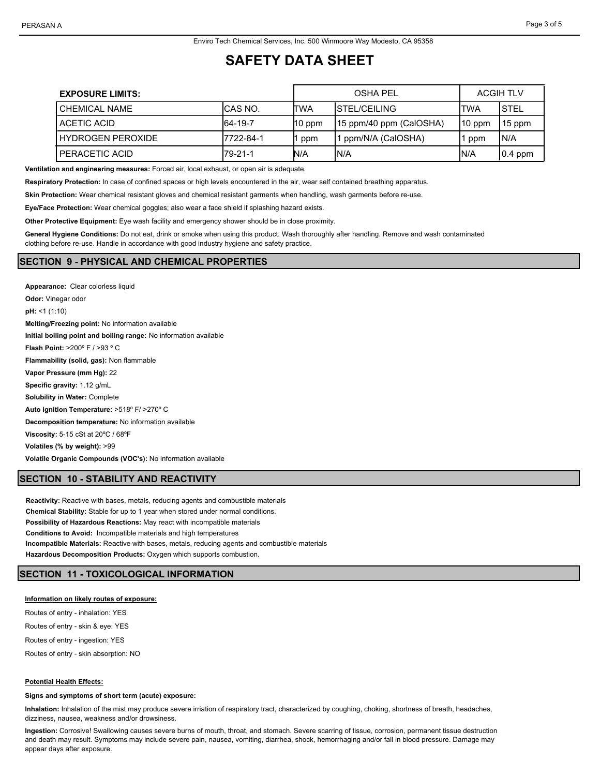| <b>EXPOSURE LIMITS:</b> |           |          | <b>OSHA PEL</b>          |          | <b>ACGIH TLV</b> |
|-------------------------|-----------|----------|--------------------------|----------|------------------|
| <b>CHEMICAL NAME</b>    | ICAS NO.  | ITWA     | <b>ISTEL/CEILING</b>     | ITWA     | <b>STEL</b>      |
| ACETIC ACID             | 64-19-7   | $10$ ppm | [15 ppm/40 ppm (CalOSHA) | $10$ ppm | 15 ppm           |
| HYDROGEN PEROXIDE       | 7722-84-1 | ppm      | ppm/N/A (CalOSHA)        | ppm      | IN/A             |
| PERACETIC ACID          | 79-21-1   | N/A      | IN/A                     | IN/A     | $ 0.4$ ppm       |

**Ventilation and engineering measures:** Forced air, local exhaust, or open air is adequate.

**Respiratory Protection:** In case of confined spaces or high levels encountered in the air, wear self contained breathing apparatus.

**Skin Protection:** Wear chemical resistant gloves and chemical resistant garments when handling, wash garments before re-use.

**Eye/Face Protection:** Wear chemical goggles; also wear a face shield if splashing hazard exists.

**Other Protective Equipment:** Eye wash facility and emergency shower should be in close proximity.

**General Hygiene Conditions:** Do not eat, drink or smoke when using this product. Wash thoroughly after handling. Remove and wash contaminated clothing before re-use. Handle in accordance with good industry hygiene and safety practice.

## **SECTION 9 - PHYSICAL AND CHEMICAL PROPERTIES**

**Appearance:** Clear colorless liquid **Odor:** Vinegar odor **pH:** <1 (1:10) **Melting/Freezing point:** No information available **Initial boiling point and boiling range:** No information available **Flash Point:** >200º F / >93 º C **Flammability (solid, gas):** Non flammable **Vapor Pressure (mm Hg):** 22 **Specific gravity:** 1.12 g/mL **Solubility in Water:** Complete **Auto ignition Temperature:** >518º F/ >270º C **Decomposition temperature:** No information available **Viscosity:** 5-15 cSt at 20ºC / 68ºF **Volatiles (% by weight):** >99 **Volatile Organic Compounds (VOC's):** No information available

## **SECTION 10 - STABILITY AND REACTIVITY**

**Reactivity:** Reactive with bases, metals, reducing agents and combustible materials **Chemical Stability:** Stable for up to 1 year when stored under normal conditions. **Possibility of Hazardous Reactions:** May react with incompatible materials **Conditions to Avoid:** Incompatible materials and high temperatures **Incompatible Materials:** Reactive with bases, metals, reducing agents and combustible materials **Hazardous Decomposition Products:** Oxygen which supports combustion.

## **SECTION 11 - TOXICOLOGICAL INFORMATION**

#### **Information on likely routes of exposure:**

Routes of entry - inhalation: YES Routes of entry - skin & eye: YES

Routes of entry - ingestion: YES

Routes of entry - skin absorption: NO

#### **Potential Health Effects:**

**Signs and symptoms of short term (acute) exposure:**

**Inhalation:** Inhalation of the mist may produce severe irriation of respiratory tract, characterized by coughing, choking, shortness of breath, headaches, dizziness, nausea, weakness and/or drowsiness.

**Ingestion:** Corrosive! Swallowing causes severe burns of mouth, throat, and stomach. Severe scarring of tissue, corrosion, permanent tissue destruction and death may result. Symptoms may include severe pain, nausea, vomiting, diarrhea, shock, hemorrhaging and/or fall in blood pressure. Damage may appear days after exposure.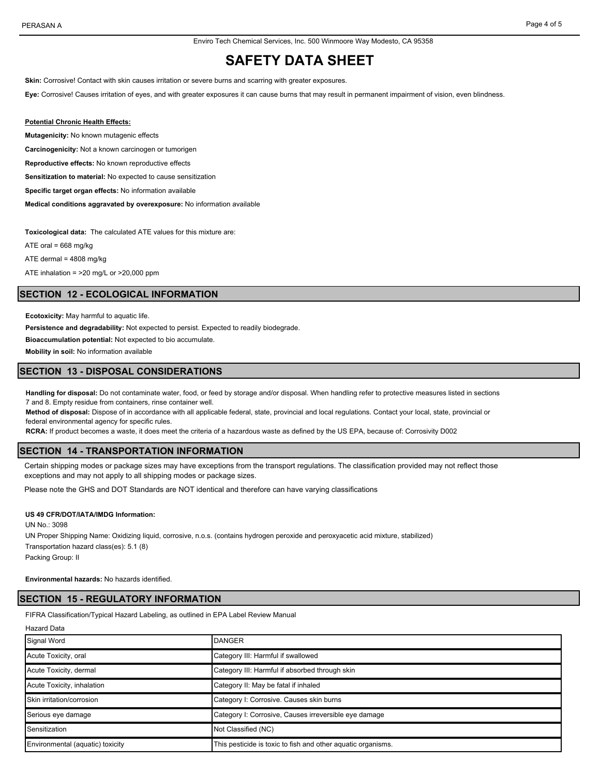Enviro Tech Chemical Services, Inc. 500 Winmoore Way Modesto, CA 95358

# **SAFETY DATA SHEET**

**Skin:** Corrosive! Contact with skin causes irritation or severe burns and scarring with greater exposures.

**Eye:** Corrosive! Causes irritation of eyes, and with greater exposures it can cause burns that may result in permanent impairment of vision, even blindness.

#### **Potential Chronic Health Effects:**

**Mutagenicity:** No known mutagenic effects

**Carcinogenicity:** Not a known carcinogen or tumorigen

**Reproductive effects:** No known reproductive effects

**Sensitization to material:** No expected to cause sensitization

**Specific target organ effects:** No information available

**Medical conditions aggravated by overexposure:** No information available

**Toxicological data:** The calculated ATE values for this mixture are:

ATE oral =  $668$  mg/kg

ATE dermal = 4808 mg/kg

ATE inhalation = >20 mg/L or >20,000 ppm

#### **SECTION 12 - ECOLOGICAL INFORMATION**

**Ecotoxicity:** May harmful to aquatic life.

**Persistence and degradability:** Not expected to persist. Expected to readily biodegrade.

**Bioaccumulation potential:** Not expected to bio accumulate.

**Mobility in soil:** No information available

#### **SECTION 13 - DISPOSAL CONSIDERATIONS**

**Handling for disposal:** Do not contaminate water, food, or feed by storage and/or disposal. When handling refer to protective measures listed in sections 7 and 8. Empty residue from containers, rinse container well.

**Method of disposal:** Dispose of in accordance with all applicable federal, state, provincial and local regulations. Contact your local, state, provincial or federal environmental agency for specific rules.

**RCRA:** If product becomes a waste, it does meet the criteria of a hazardous waste as defined by the US EPA, because of: Corrosivity D002

## **SECTION 14 - TRANSPORTATION INFORMATION**

Certain shipping modes or package sizes may have exceptions from the transport regulations. The classification provided may not reflect those exceptions and may not apply to all shipping modes or package sizes.

Please note the GHS and DOT Standards are NOT identical and therefore can have varying classifications

#### **US 49 CFR/DOT/IATA/IMDG Information:**

UN No.: 3098

UN Proper Shipping Name: Oxidizing liquid, corrosive, n.o.s. (contains hydrogen peroxide and peroxyacetic acid mixture, stabilized) Transportation hazard class(es): 5.1 (8) Packing Group: II

#### **Environmental hazards:** No hazards identified.

#### **SECTION 15 - REGULATORY INFORMATION**

FIFRA Classification/Typical Hazard Labeling, as outlined in EPA Label Review Manual

|  | <b>Hazard Data</b> |  |
|--|--------------------|--|
|--|--------------------|--|

| Signal Word                      | DANGER                                                       |
|----------------------------------|--------------------------------------------------------------|
| Acute Toxicity, oral             | Category III: Harmful if swallowed                           |
| Acute Toxicity, dermal           | Category III: Harmful if absorbed through skin               |
| Acute Toxicity, inhalation       | Category II: May be fatal if inhaled                         |
| Skin irritation/corrosion        | Category I: Corrosive. Causes skin burns                     |
| Serious eye damage               | Category I: Corrosive, Causes irreversible eye damage        |
| Sensitization                    | Not Classified (NC)                                          |
| Environmental (aquatic) toxicity | This pesticide is toxic to fish and other aquatic organisms. |